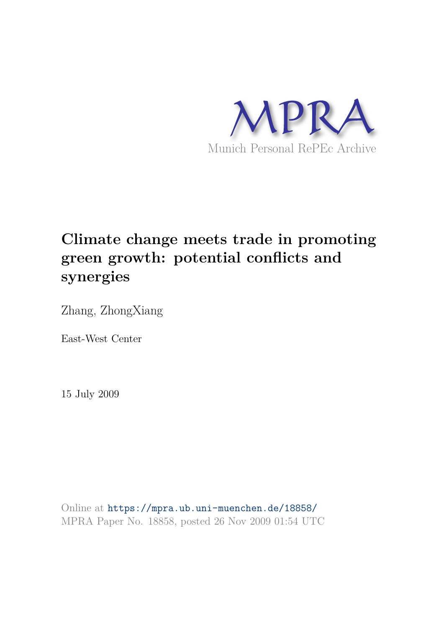

# **Climate change meets trade in promoting green growth: potential conflicts and synergies**

Zhang, ZhongXiang

East-West Center

15 July 2009

Online at https://mpra.ub.uni-muenchen.de/18858/ MPRA Paper No. 18858, posted 26 Nov 2009 01:54 UTC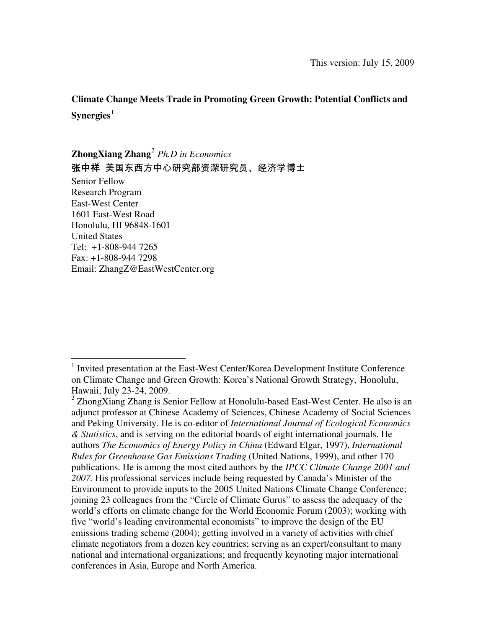**Climate Change Meets Trade in Promoting Green Growth: Potential Conflicts and Synergies**<sup>[1](#page-1-0)</sup>

**ZhongXiang Zhang**[2](#page-1-1) *Ph.D in Economics*

张中祥 美国东西方中心研究部资深研究员、经济学博士

Senior Fellow Research Program East-West Center 1601 East-West Road Honolulu, HI 96848-1601 United States Tel: +1-808-944 7265 Fax: +1-808-944 7298 Email: ZhangZ@EastWestCenter.org

<span id="page-1-0"></span><sup>&</sup>lt;sup>1</sup> Invited presentation at the East-West Center/Korea Development Institute Conference on Climate Change and Green Growth: Korea's National Growth Strategy, Honolulu, Hawaii, July 23-24, 2009.

<span id="page-1-1"></span> $2$  ZhongXiang Zhang is Senior Fellow at Honolulu-based East-West Center. He also is an adjunct professor at Chinese Academy of Sciences, Chinese Academy of Social Sciences and Peking University. He is co-editor of *International Journal of Ecological Economics & Statistics*, and is serving on the editorial boards of eight international journals. He authors *The Economics of Energy Policy in China* (Edward Elgar, 1997), *International Rules for Greenhouse Gas Emissions Trading* (United Nations, 1999), and other 170 publications. He is among the most cited authors by the *IPCC Climate Change 2001 and 2007.* His professional services include being requested by Canada's Minister of the Environment to provide inputs to the 2005 United Nations Climate Change Conference; joining 23 colleagues from the "Circle of Climate Gurus" to assess the adequacy of the world's efforts on climate change for the World Economic Forum (2003); working with five "world's leading environmental economists" to improve the design of the EU emissions trading scheme (2004); getting involved in a variety of activities with chief climate negotiators from a dozen key countries; serving as an expert/consultant to many national and international organizations; and frequently keynoting major international conferences in Asia, Europe and North America.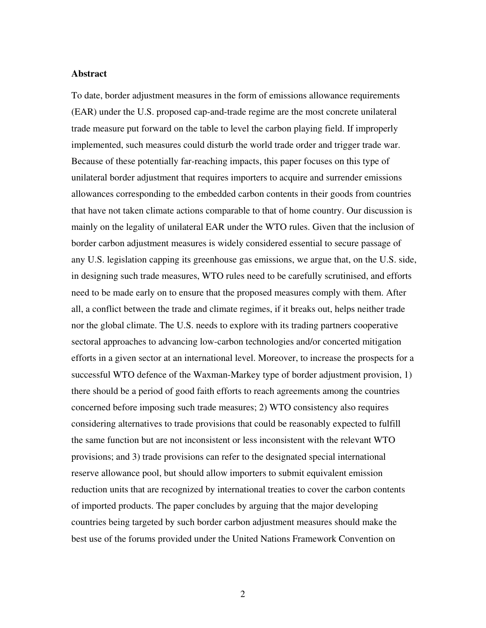#### **Abstract**

To date, border adjustment measures in the form of emissions allowance requirements (EAR) under the U.S. proposed cap-and-trade regime are the most concrete unilateral trade measure put forward on the table to level the carbon playing field. If improperly implemented, such measures could disturb the world trade order and trigger trade war. Because of these potentially far-reaching impacts, this paper focuses on this type of unilateral border adjustment that requires importers to acquire and surrender emissions allowances corresponding to the embedded carbon contents in their goods from countries that have not taken climate actions comparable to that of home country. Our discussion is mainly on the legality of unilateral EAR under the WTO rules. Given that the inclusion of border carbon adjustment measures is widely considered essential to secure passage of any U.S. legislation capping its greenhouse gas emissions, we argue that, on the U.S. side, in designing such trade measures, WTO rules need to be carefully scrutinised, and efforts need to be made early on to ensure that the proposed measures comply with them. After all, a conflict between the trade and climate regimes, if it breaks out, helps neither trade nor the global climate. The U.S. needs to explore with its trading partners cooperative sectoral approaches to advancing low-carbon technologies and/or concerted mitigation efforts in a given sector at an international level. Moreover, to increase the prospects for a successful WTO defence of the Waxman-Markey type of border adjustment provision, 1) there should be a period of good faith efforts to reach agreements among the countries concerned before imposing such trade measures; 2) WTO consistency also requires considering alternatives to trade provisions that could be reasonably expected to fulfill the same function but are not inconsistent or less inconsistent with the relevant WTO provisions; and 3) trade provisions can refer to the designated special international reserve allowance pool, but should allow importers to submit equivalent emission reduction units that are recognized by international treaties to cover the carbon contents of imported products. The paper concludes by arguing that the major developing countries being targeted by such border carbon adjustment measures should make the best use of the forums provided under the United Nations Framework Convention on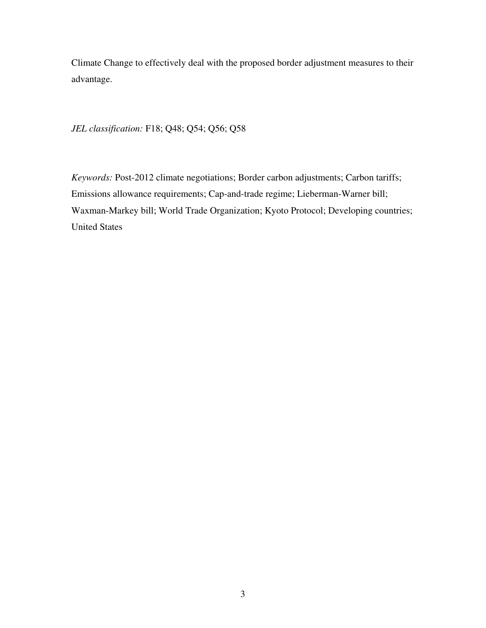Climate Change to effectively deal with the proposed border adjustment measures to their advantage.

*JEL classification:* F18; Q48; Q54; Q56; Q58

*Keywords:* Post-2012 climate negotiations; Border carbon adjustments; Carbon tariffs; Emissions allowance requirements; Cap-and-trade regime; Lieberman-Warner bill; Waxman-Markey bill; World Trade Organization; Kyoto Protocol; Developing countries; United States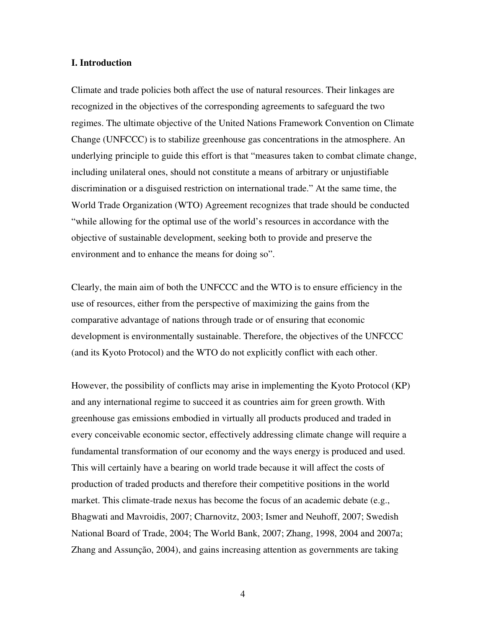#### **I. Introduction**

Climate and trade policies both affect the use of natural resources. Their linkages are recognized in the objectives of the corresponding agreements to safeguard the two regimes. The ultimate objective of the United Nations Framework Convention on Climate Change (UNFCCC) is to stabilize greenhouse gas concentrations in the atmosphere. An underlying principle to guide this effort is that "measures taken to combat climate change, including unilateral ones, should not constitute a means of arbitrary or unjustifiable discrimination or a disguised restriction on international trade." At the same time, the World Trade Organization (WTO) Agreement recognizes that trade should be conducted "while allowing for the optimal use of the world's resources in accordance with the objective of sustainable development, seeking both to provide and preserve the environment and to enhance the means for doing so".

Clearly, the main aim of both the UNFCCC and the WTO is to ensure efficiency in the use of resources, either from the perspective of maximizing the gains from the comparative advantage of nations through trade or of ensuring that economic development is environmentally sustainable. Therefore, the objectives of the UNFCCC (and its Kyoto Protocol) and the WTO do not explicitly conflict with each other.

However, the possibility of conflicts may arise in implementing the Kyoto Protocol (KP) and any international regime to succeed it as countries aim for green growth. With greenhouse gas emissions embodied in virtually all products produced and traded in every conceivable economic sector, effectively addressing climate change will require a fundamental transformation of our economy and the ways energy is produced and used. This will certainly have a bearing on world trade because it will affect the costs of production of traded products and therefore their competitive positions in the world market. This climate-trade nexus has become the focus of an academic debate (e.g., Bhagwati and Mavroidis, 2007; Charnovitz, 2003; Ismer and Neuhoff, 2007; Swedish National Board of Trade, 2004; The World Bank, 2007; Zhang, 1998, 2004 and 2007a; Zhang and Assunção, 2004), and gains increasing attention as governments are taking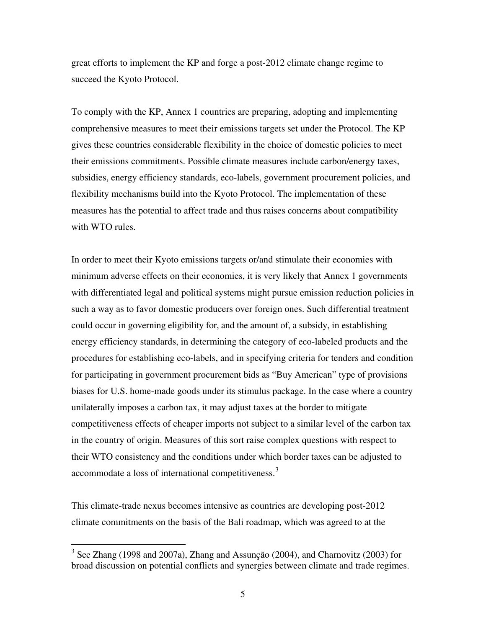great efforts to implement the KP and forge a post-2012 climate change regime to succeed the Kyoto Protocol.

To comply with the KP, Annex 1 countries are preparing, adopting and implementing comprehensive measures to meet their emissions targets set under the Protocol. The KP gives these countries considerable flexibility in the choice of domestic policies to meet their emissions commitments. Possible climate measures include carbon/energy taxes, subsidies, energy efficiency standards, eco-labels, government procurement policies, and flexibility mechanisms build into the Kyoto Protocol. The implementation of these measures has the potential to affect trade and thus raises concerns about compatibility with WTO rules.

In order to meet their Kyoto emissions targets or/and stimulate their economies with minimum adverse effects on their economies, it is very likely that Annex 1 governments with differentiated legal and political systems might pursue emission reduction policies in such a way as to favor domestic producers over foreign ones. Such differential treatment could occur in governing eligibility for, and the amount of, a subsidy, in establishing energy efficiency standards, in determining the category of eco-labeled products and the procedures for establishing eco-labels, and in specifying criteria for tenders and condition for participating in government procurement bids as "Buy American" type of provisions biases for U.S. home-made goods under its stimulus package. In the case where a country unilaterally imposes a carbon tax, it may adjust taxes at the border to mitigate competitiveness effects of cheaper imports not subject to a similar level of the carbon tax in the country of origin. Measures of this sort raise complex questions with respect to their WTO consistency and the conditions under which border taxes can be adjusted to accommodate a loss of international competitiveness.<sup>[3](#page-5-0)</sup>

This climate-trade nexus becomes intensive as countries are developing post-2012 climate commitments on the basis of the Bali roadmap, which was agreed to at the

<u>.</u>

<span id="page-5-0"></span><sup>&</sup>lt;sup>3</sup> See Zhang (1998 and 2007a), Zhang and Assunção (2004), and Charnovitz (2003) for broad discussion on potential conflicts and synergies between climate and trade regimes.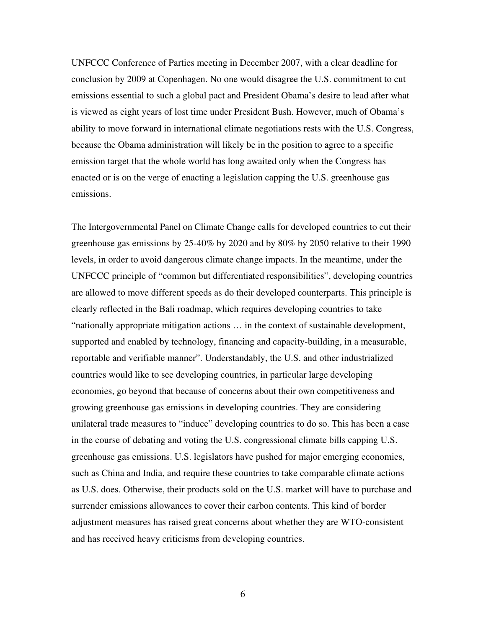UNFCCC Conference of Parties meeting in December 2007, with a clear deadline for conclusion by 2009 at Copenhagen. No one would disagree the U.S. commitment to cut emissions essential to such a global pact and President Obama's desire to lead after what is viewed as eight years of lost time under President Bush. However, much of Obama's ability to move forward in international climate negotiations rests with the U.S. Congress, because the Obama administration will likely be in the position to agree to a specific emission target that the whole world has long awaited only when the Congress has enacted or is on the verge of enacting a legislation capping the U.S. greenhouse gas emissions.

The Intergovernmental Panel on Climate Change calls for developed countries to cut their greenhouse gas emissions by 25-40% by 2020 and by 80% by 2050 relative to their 1990 levels, in order to avoid dangerous climate change impacts. In the meantime, under the UNFCCC principle of "common but differentiated responsibilities", developing countries are allowed to move different speeds as do their developed counterparts. This principle is clearly reflected in the Bali roadmap, which requires developing countries to take "nationally appropriate mitigation actions … in the context of sustainable development, supported and enabled by technology, financing and capacity-building, in a measurable, reportable and verifiable manner". Understandably, the U.S. and other industrialized countries would like to see developing countries, in particular large developing economies, go beyond that because of concerns about their own competitiveness and growing greenhouse gas emissions in developing countries. They are considering unilateral trade measures to "induce" developing countries to do so. This has been a case in the course of debating and voting the U.S. congressional climate bills capping U.S. greenhouse gas emissions. U.S. legislators have pushed for major emerging economies, such as China and India, and require these countries to take comparable climate actions as U.S. does. Otherwise, their products sold on the U.S. market will have to purchase and surrender emissions allowances to cover their carbon contents. This kind of border adjustment measures has raised great concerns about whether they are WTO-consistent and has received heavy criticisms from developing countries.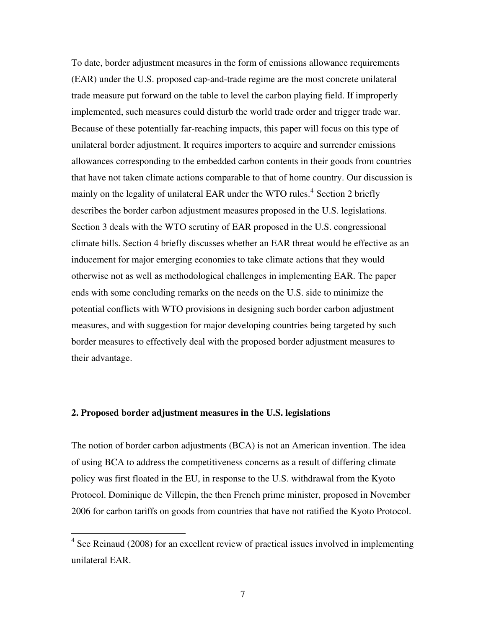To date, border adjustment measures in the form of emissions allowance requirements (EAR) under the U.S. proposed cap-and-trade regime are the most concrete unilateral trade measure put forward on the table to level the carbon playing field. If improperly implemented, such measures could disturb the world trade order and trigger trade war. Because of these potentially far-reaching impacts, this paper will focus on this type of unilateral border adjustment. It requires importers to acquire and surrender emissions allowances corresponding to the embedded carbon contents in their goods from countries that have not taken climate actions comparable to that of home country. Our discussion is mainly on the legality of unilateral EAR under the WTO rules.<sup>[4](#page-7-0)</sup> Section 2 briefly describes the border carbon adjustment measures proposed in the U.S. legislations. Section 3 deals with the WTO scrutiny of EAR proposed in the U.S. congressional climate bills. Section 4 briefly discusses whether an EAR threat would be effective as an inducement for major emerging economies to take climate actions that they would otherwise not as well as methodological challenges in implementing EAR. The paper ends with some concluding remarks on the needs on the U.S. side to minimize the potential conflicts with WTO provisions in designing such border carbon adjustment measures, and with suggestion for major developing countries being targeted by such border measures to effectively deal with the proposed border adjustment measures to their advantage.

#### **2. Proposed border adjustment measures in the U.S. legislations**

 $\overline{a}$ 

The notion of border carbon adjustments (BCA) is not an American invention. The idea of using BCA to address the competitiveness concerns as a result of differing climate policy was first floated in the EU, in response to the U.S. withdrawal from the Kyoto Protocol. Dominique de Villepin, the then French prime minister, proposed in November 2006 for carbon tariffs on goods from countries that have not ratified the Kyoto Protocol.

<span id="page-7-0"></span><sup>&</sup>lt;sup>4</sup> See Reinaud (2008) for an excellent review of practical issues involved in implementing unilateral EAR.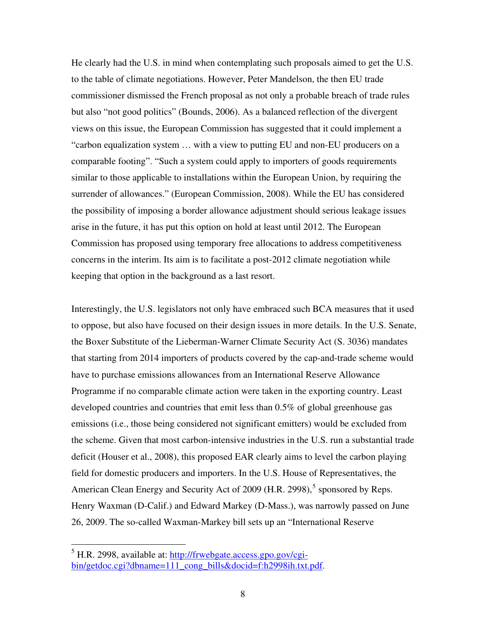He clearly had the U.S. in mind when contemplating such proposals aimed to get the U.S. to the table of climate negotiations. However, Peter Mandelson, the then EU trade commissioner dismissed the French proposal as not only a probable breach of trade rules but also "not good politics" (Bounds, 2006). As a balanced reflection of the divergent views on this issue, the European Commission has suggested that it could implement a "carbon equalization system … with a view to putting EU and non-EU producers on a comparable footing". "Such a system could apply to importers of goods requirements similar to those applicable to installations within the European Union, by requiring the surrender of allowances." (European Commission, 2008). While the EU has considered the possibility of imposing a border allowance adjustment should serious leakage issues arise in the future, it has put this option on hold at least until 2012. The European Commission has proposed using temporary free allocations to address competitiveness concerns in the interim. Its aim is to facilitate a post-2012 climate negotiation while keeping that option in the background as a last resort.

Interestingly, the U.S. legislators not only have embraced such BCA measures that it used to oppose, but also have focused on their design issues in more details. In the U.S. Senate, the Boxer Substitute of the Lieberman-Warner Climate Security Act (S. 3036) mandates that starting from 2014 importers of products covered by the cap-and-trade scheme would have to purchase emissions allowances from an International Reserve Allowance Programme if no comparable climate action were taken in the exporting country. Least developed countries and countries that emit less than 0.5% of global greenhouse gas emissions (i.e., those being considered not significant emitters) would be excluded from the scheme. Given that most carbon-intensive industries in the U.S. run a substantial trade deficit (Houser et al., 2008), this proposed EAR clearly aims to level the carbon playing field for domestic producers and importers. In the U.S. House of Representatives, the American Clean Energy and Security Act of 2009 (H.R. 2998),<sup>[5](#page-8-0)</sup> sponsored by Reps. Henry Waxman (D-Calif.) and Edward Markey (D-Mass.), was narrowly passed on June 26, 2009. The so-called Waxman-Markey bill sets up an "International Reserve

<span id="page-8-0"></span><sup>&</sup>lt;sup>5</sup> H.R. 2998, available at: [http://frwebgate.access.gpo.gov/cgi](http://frwebgate.access.gpo.gov/cgi-bin/getdoc.cgi?dbname=111_cong_bills&docid=f:h2998ih.txt.pdf)[bin/getdoc.cgi?dbname=111\\_cong\\_bills&docid=f:h2998ih.txt.pdf.](http://frwebgate.access.gpo.gov/cgi-bin/getdoc.cgi?dbname=111_cong_bills&docid=f:h2998ih.txt.pdf)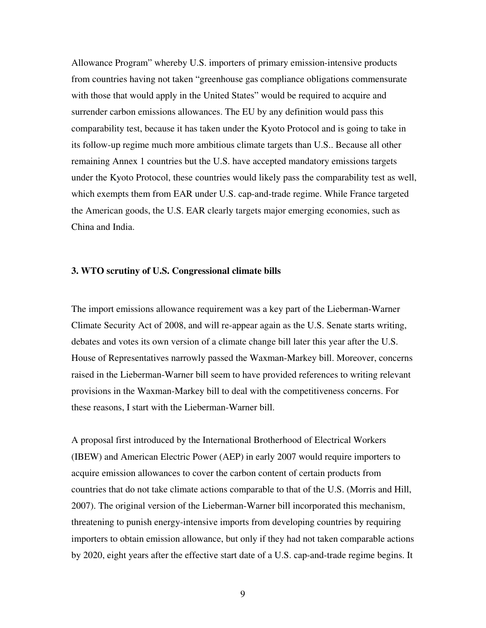Allowance Program" whereby U.S. importers of primary emission-intensive products from countries having not taken "greenhouse gas compliance obligations commensurate with those that would apply in the United States" would be required to acquire and surrender carbon emissions allowances. The EU by any definition would pass this comparability test, because it has taken under the Kyoto Protocol and is going to take in its follow-up regime much more ambitious climate targets than U.S.. Because all other remaining Annex 1 countries but the U.S. have accepted mandatory emissions targets under the Kyoto Protocol, these countries would likely pass the comparability test as well, which exempts them from EAR under U.S. cap-and-trade regime. While France targeted the American goods, the U.S. EAR clearly targets major emerging economies, such as China and India.

#### **3. WTO scrutiny of U.S. Congressional climate bills**

The import emissions allowance requirement was a key part of the Lieberman-Warner Climate Security Act of 2008, and will re-appear again as the U.S. Senate starts writing, debates and votes its own version of a climate change bill later this year after the U.S. House of Representatives narrowly passed the Waxman-Markey bill. Moreover, concerns raised in the Lieberman-Warner bill seem to have provided references to writing relevant provisions in the Waxman-Markey bill to deal with the competitiveness concerns. For these reasons, I start with the Lieberman-Warner bill.

A proposal first introduced by the International Brotherhood of Electrical Workers (IBEW) and American Electric Power (AEP) in early 2007 would require importers to acquire emission allowances to cover the carbon content of certain products from countries that do not take climate actions comparable to that of the U.S. (Morris and Hill, 2007). The original version of the Lieberman-Warner bill incorporated this mechanism, threatening to punish energy-intensive imports from developing countries by requiring importers to obtain emission allowance, but only if they had not taken comparable actions by 2020, eight years after the effective start date of a U.S. cap-and-trade regime begins. It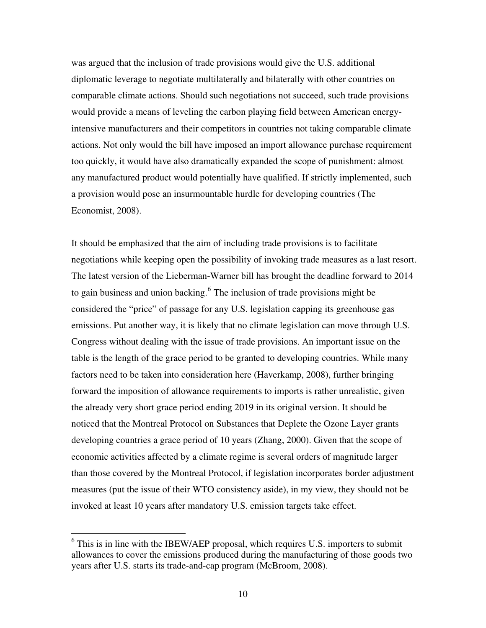was argued that the inclusion of trade provisions would give the U.S. additional diplomatic leverage to negotiate multilaterally and bilaterally with other countries on comparable climate actions. Should such negotiations not succeed, such trade provisions would provide a means of leveling the carbon playing field between American energyintensive manufacturers and their competitors in countries not taking comparable climate actions. Not only would the bill have imposed an import allowance purchase requirement too quickly, it would have also dramatically expanded the scope of punishment: almost any manufactured product would potentially have qualified. If strictly implemented, such a provision would pose an insurmountable hurdle for developing countries (The Economist, 2008).

It should be emphasized that the aim of including trade provisions is to facilitate negotiations while keeping open the possibility of invoking trade measures as a last resort. The latest version of the Lieberman-Warner bill has brought the deadline forward to 2014 to gain business and union backing.<sup>[6](#page-10-0)</sup> The inclusion of trade provisions might be considered the "price" of passage for any U.S. legislation capping its greenhouse gas emissions. Put another way, it is likely that no climate legislation can move through U.S. Congress without dealing with the issue of trade provisions. An important issue on the table is the length of the grace period to be granted to developing countries. While many factors need to be taken into consideration here (Haverkamp, 2008), further bringing forward the imposition of allowance requirements to imports is rather unrealistic, given the already very short grace period ending 2019 in its original version. It should be noticed that the Montreal Protocol on Substances that Deplete the Ozone Layer grants developing countries a grace period of 10 years (Zhang, 2000). Given that the scope of economic activities affected by a climate regime is several orders of magnitude larger than those covered by the Montreal Protocol, if legislation incorporates border adjustment measures (put the issue of their WTO consistency aside), in my view, they should not be invoked at least 10 years after mandatory U.S. emission targets take effect.

<span id="page-10-0"></span> $6$  This is in line with the IBEW/AEP proposal, which requires U.S. importers to submit allowances to cover the emissions produced during the manufacturing of those goods two years after U.S. starts its trade-and-cap program (McBroom, 2008).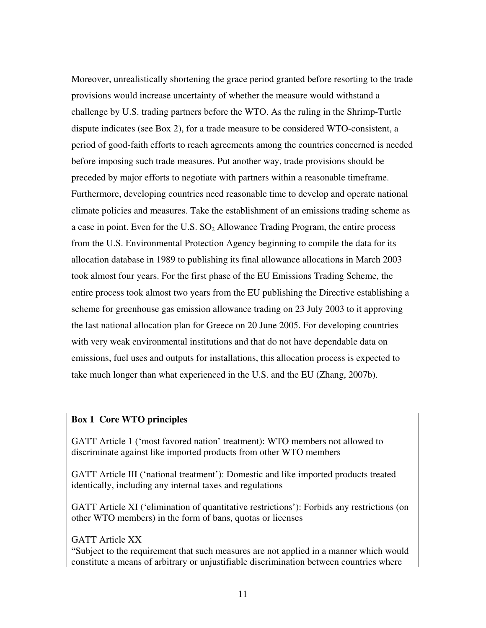Moreover, unrealistically shortening the grace period granted before resorting to the trade provisions would increase uncertainty of whether the measure would withstand a challenge by U.S. trading partners before the WTO. As the ruling in the Shrimp-Turtle dispute indicates (see Box 2), for a trade measure to be considered WTO-consistent, a period of good-faith efforts to reach agreements among the countries concerned is needed before imposing such trade measures. Put another way, trade provisions should be preceded by major efforts to negotiate with partners within a reasonable timeframe. Furthermore, developing countries need reasonable time to develop and operate national climate policies and measures. Take the establishment of an emissions trading scheme as a case in point. Even for the U.S.  $SO<sub>2</sub>$  Allowance Trading Program, the entire process from the U.S. Environmental Protection Agency beginning to compile the data for its allocation database in 1989 to publishing its final allowance allocations in March 2003 took almost four years. For the first phase of the EU Emissions Trading Scheme, the entire process took almost two years from the EU publishing the Directive establishing a scheme for greenhouse gas emission allowance trading on 23 July 2003 to it approving the last national allocation plan for Greece on 20 June 2005. For developing countries with very weak environmental institutions and that do not have dependable data on emissions, fuel uses and outputs for installations, this allocation process is expected to take much longer than what experienced in the U.S. and the EU (Zhang, 2007b).

# **Box 1 Core WTO principles**

GATT Article 1 ('most favored nation' treatment): WTO members not allowed to discriminate against like imported products from other WTO members

GATT Article III ('national treatment'): Domestic and like imported products treated identically, including any internal taxes and regulations

GATT Article XI ('elimination of quantitative restrictions'): Forbids any restrictions (on other WTO members) in the form of bans, quotas or licenses

#### GATT Article XX

"Subject to the requirement that such measures are not applied in a manner which would constitute a means of arbitrary or unjustifiable discrimination between countries where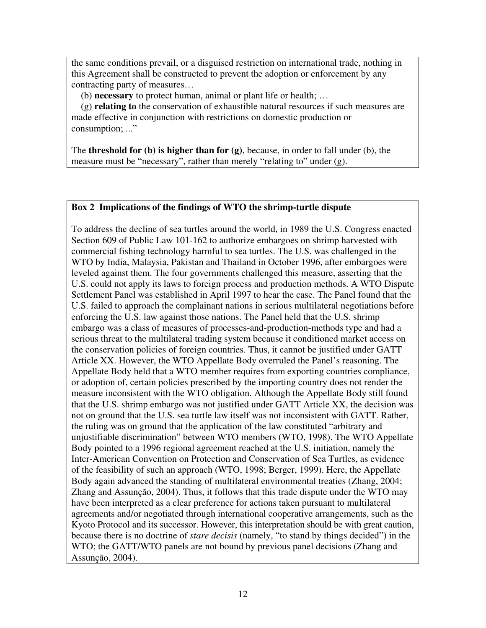the same conditions prevail, or a disguised restriction on international trade, nothing in this Agreement shall be constructed to prevent the adoption or enforcement by any contracting party of measures…

(b) **necessary** to protect human, animal or plant life or health; …

 (g) **relating to** the conservation of exhaustible natural resources if such measures are made effective in conjunction with restrictions on domestic production or consumption; ..."

The **threshold for (b) is higher than for (g)**, because, in order to fall under (b), the measure must be "necessary", rather than merely "relating to" under (g).

## **Box 2 Implications of the findings of WTO the shrimp-turtle dispute**

To address the decline of sea turtles around the world, in 1989 the U.S. Congress enacted Section 609 of Public Law 101-162 to authorize embargoes on shrimp harvested with commercial fishing technology harmful to sea turtles. The U.S. was challenged in the WTO by India, Malaysia, Pakistan and Thailand in October 1996, after embargoes were leveled against them. The four governments challenged this measure, asserting that the U.S. could not apply its laws to foreign process and production methods. A WTO Dispute Settlement Panel was established in April 1997 to hear the case. The Panel found that the U.S. failed to approach the complainant nations in serious multilateral negotiations before enforcing the U.S. law against those nations. The Panel held that the U.S. shrimp embargo was a class of measures of processes-and-production-methods type and had a serious threat to the multilateral trading system because it conditioned market access on the conservation policies of foreign countries. Thus, it cannot be justified under GATT Article XX. However, the WTO Appellate Body overruled the Panel's reasoning. The Appellate Body held that a WTO member requires from exporting countries compliance, or adoption of, certain policies prescribed by the importing country does not render the measure inconsistent with the WTO obligation. Although the Appellate Body still found that the U.S. shrimp embargo was not justified under GATT Article XX, the decision was not on ground that the U.S. sea turtle law itself was not inconsistent with GATT. Rather, the ruling was on ground that the application of the law constituted "arbitrary and unjustifiable discrimination" between WTO members (WTO, 1998). The WTO Appellate Body pointed to a 1996 regional agreement reached at the U.S. initiation, namely the Inter-American Convention on Protection and Conservation of Sea Turtles, as evidence of the feasibility of such an approach (WTO, 1998; Berger, 1999). Here, the Appellate Body again advanced the standing of multilateral environmental treaties (Zhang, 2004; Zhang and Assunção, 2004). Thus, it follows that this trade dispute under the WTO may have been interpreted as a clear preference for actions taken pursuant to multilateral agreements and/or negotiated through international cooperative arrangements, such as the Kyoto Protocol and its successor. However, this interpretation should be with great caution, because there is no doctrine of *stare decisis* (namely, "to stand by things decided") in the WTO; the GATT/WTO panels are not bound by previous panel decisions (Zhang and Assunção, 2004).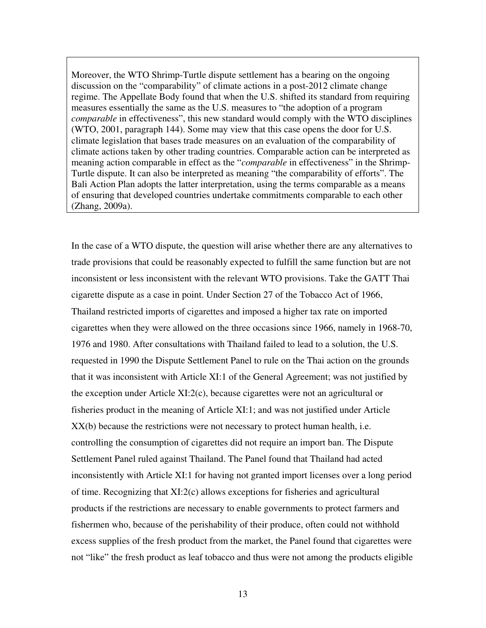Moreover, the WTO Shrimp-Turtle dispute settlement has a bearing on the ongoing discussion on the "comparability" of climate actions in a post-2012 climate change regime. The Appellate Body found that when the U.S. shifted its standard from requiring measures essentially the same as the U.S. measures to "the adoption of a program *comparable* in effectiveness", this new standard would comply with the WTO disciplines (WTO, 2001, paragraph 144). Some may view that this case opens the door for U.S. climate legislation that bases trade measures on an evaluation of the comparability of climate actions taken by other trading countries. Comparable action can be interpreted as meaning action comparable in effect as the "*comparable* in effectiveness" in the Shrimp-Turtle dispute. It can also be interpreted as meaning "the comparability of efforts". The Bali Action Plan adopts the latter interpretation, using the terms comparable as a means of ensuring that developed countries undertake commitments comparable to each other (Zhang, 2009a).

In the case of a WTO dispute, the question will arise whether there are any alternatives to trade provisions that could be reasonably expected to fulfill the same function but are not inconsistent or less inconsistent with the relevant WTO provisions. Take the GATT Thai cigarette dispute as a case in point. Under Section 27 of the Tobacco Act of 1966, Thailand restricted imports of cigarettes and imposed a higher tax rate on imported cigarettes when they were allowed on the three occasions since 1966, namely in 1968-70, 1976 and 1980. After consultations with Thailand failed to lead to a solution, the U.S. requested in 1990 the Dispute Settlement Panel to rule on the Thai action on the grounds that it was inconsistent with Article XI:1 of the General Agreement; was not justified by the exception under Article  $XI(2(c))$ , because cigarettes were not an agricultural or fisheries product in the meaning of Article XI:1; and was not justified under Article XX(b) because the restrictions were not necessary to protect human health, i.e. controlling the consumption of cigarettes did not require an import ban. The Dispute Settlement Panel ruled against Thailand. The Panel found that Thailand had acted inconsistently with Article XI:1 for having not granted import licenses over a long period of time. Recognizing that XI:2(c) allows exceptions for fisheries and agricultural products if the restrictions are necessary to enable governments to protect farmers and fishermen who, because of the perishability of their produce, often could not withhold excess supplies of the fresh product from the market, the Panel found that cigarettes were not "like" the fresh product as leaf tobacco and thus were not among the products eligible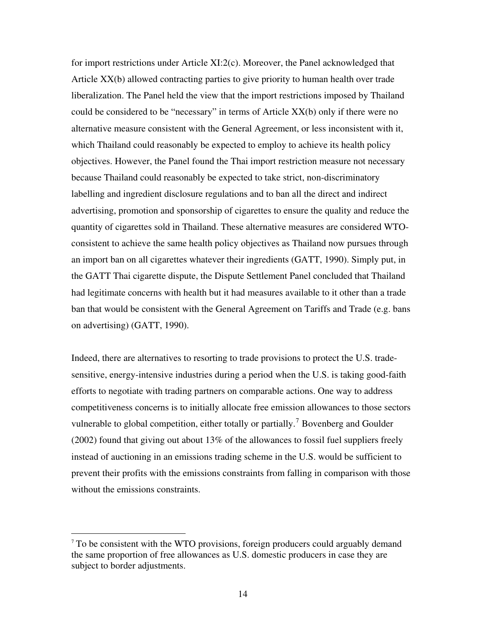for import restrictions under Article XI:2(c). Moreover, the Panel acknowledged that Article XX(b) allowed contracting parties to give priority to human health over trade liberalization. The Panel held the view that the import restrictions imposed by Thailand could be considered to be "necessary" in terms of Article XX(b) only if there were no alternative measure consistent with the General Agreement, or less inconsistent with it, which Thailand could reasonably be expected to employ to achieve its health policy objectives. However, the Panel found the Thai import restriction measure not necessary because Thailand could reasonably be expected to take strict, non-discriminatory labelling and ingredient disclosure regulations and to ban all the direct and indirect advertising, promotion and sponsorship of cigarettes to ensure the quality and reduce the quantity of cigarettes sold in Thailand. These alternative measures are considered WTOconsistent to achieve the same health policy objectives as Thailand now pursues through an import ban on all cigarettes whatever their ingredients (GATT, 1990). Simply put, in the GATT Thai cigarette dispute, the Dispute Settlement Panel concluded that Thailand had legitimate concerns with health but it had measures available to it other than a trade ban that would be consistent with the General Agreement on Tariffs and Trade (e.g. bans on advertising) (GATT, 1990).

Indeed, there are alternatives to resorting to trade provisions to protect the U.S. tradesensitive, energy-intensive industries during a period when the U.S. is taking good-faith efforts to negotiate with trading partners on comparable actions. One way to address competitiveness concerns is to initially allocate free emission allowances to those sectors vulnerable to global competition, either totally or partially.<sup>[7](#page-14-0)</sup> Bovenberg and Goulder (2002) found that giving out about 13% of the allowances to fossil fuel suppliers freely instead of auctioning in an emissions trading scheme in the U.S. would be sufficient to prevent their profits with the emissions constraints from falling in comparison with those without the emissions constraints.

<span id="page-14-0"></span><sup>&</sup>lt;sup>7</sup> To be consistent with the WTO provisions, foreign producers could arguably demand the same proportion of free allowances as U.S. domestic producers in case they are subject to border adjustments.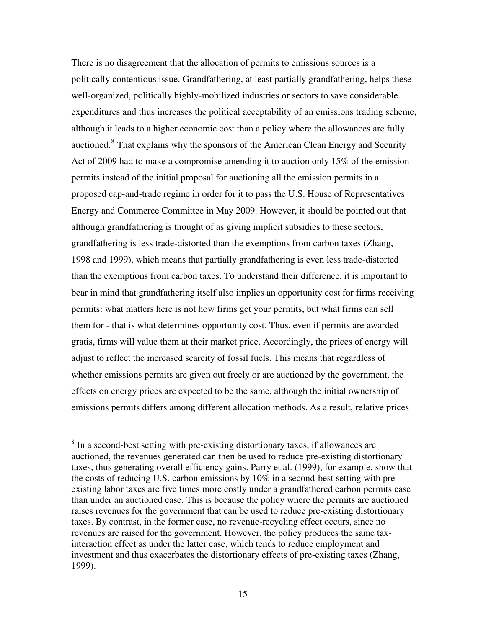There is no disagreement that the allocation of permits to emissions sources is a politically contentious issue. Grandfathering, at least partially grandfathering, helps these well-organized, politically highly-mobilized industries or sectors to save considerable expenditures and thus increases the political acceptability of an emissions trading scheme, although it leads to a higher economic cost than a policy where the allowances are fully auctioned.<sup>[8](#page-15-0)</sup> That explains why the sponsors of the American Clean Energy and Security Act of 2009 had to make a compromise amending it to auction only 15% of the emission permits instead of the initial proposal for auctioning all the emission permits in a proposed cap-and-trade regime in order for it to pass the U.S. House of Representatives Energy and Commerce Committee in May 2009. However, it should be pointed out that although grandfathering is thought of as giving implicit subsidies to these sectors, grandfathering is less trade-distorted than the exemptions from carbon taxes (Zhang, 1998 and 1999), which means that partially grandfathering is even less trade-distorted than the exemptions from carbon taxes. To understand their difference, it is important to bear in mind that grandfathering itself also implies an opportunity cost for firms receiving permits: what matters here is not how firms get your permits, but what firms can sell them for - that is what determines opportunity cost. Thus, even if permits are awarded gratis, firms will value them at their market price. Accordingly, the prices of energy will adjust to reflect the increased scarcity of fossil fuels. This means that regardless of whether emissions permits are given out freely or are auctioned by the government, the effects on energy prices are expected to be the same, although the initial ownership of emissions permits differs among different allocation methods. As a result, relative prices

<span id="page-15-0"></span><sup>&</sup>lt;sup>8</sup> In a second-best setting with pre-existing distortionary taxes, if allowances are auctioned, the revenues generated can then be used to reduce pre-existing distortionary taxes, thus generating overall efficiency gains. Parry et al. (1999), for example, show that the costs of reducing U.S. carbon emissions by 10% in a second-best setting with preexisting labor taxes are five times more costly under a grandfathered carbon permits case than under an auctioned case. This is because the policy where the permits are auctioned raises revenues for the government that can be used to reduce pre-existing distortionary taxes. By contrast, in the former case, no revenue-recycling effect occurs, since no revenues are raised for the government. However, the policy produces the same taxinteraction effect as under the latter case, which tends to reduce employment and investment and thus exacerbates the distortionary effects of pre-existing taxes (Zhang, 1999).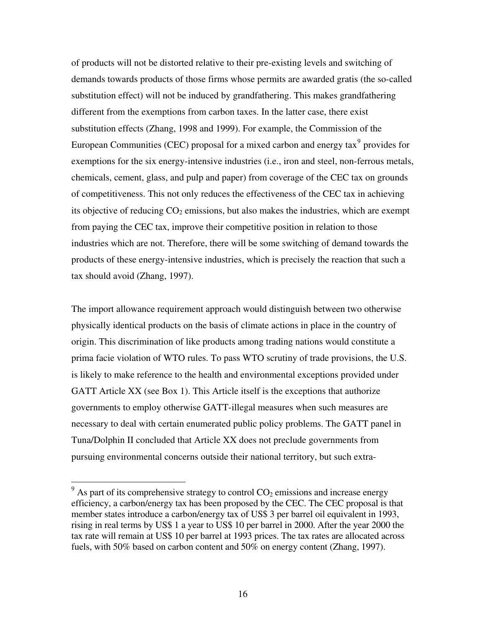of products will not be distorted relative to their pre-existing levels and switching of demands towards products of those firms whose permits are awarded gratis (the so-called substitution effect) will not be induced by grandfathering. This makes grandfathering different from the exemptions from carbon taxes. In the latter case, there exist substitution effects (Zhang, 1998 and 1999). For example, the Commission of the European Communities (CEC) proposal for a mixed carbon and energy tax<sup>[9](#page-16-0)</sup> provides for exemptions for the six energy-intensive industries (i.e., iron and steel, non-ferrous metals, chemicals, cement, glass, and pulp and paper) from coverage of the CEC tax on grounds of competitiveness. This not only reduces the effectiveness of the CEC tax in achieving its objective of reducing  $CO<sub>2</sub>$  emissions, but also makes the industries, which are exempt from paying the CEC tax, improve their competitive position in relation to those industries which are not. Therefore, there will be some switching of demand towards the products of these energy-intensive industries, which is precisely the reaction that such a tax should avoid (Zhang, 1997).

The import allowance requirement approach would distinguish between two otherwise physically identical products on the basis of climate actions in place in the country of origin. This discrimination of like products among trading nations would constitute a prima facie violation of WTO rules. To pass WTO scrutiny of trade provisions, the U.S. is likely to make reference to the health and environmental exceptions provided under GATT Article XX (see Box 1). This Article itself is the exceptions that authorize governments to employ otherwise GATT-illegal measures when such measures are necessary to deal with certain enumerated public policy problems. The GATT panel in Tuna/Dolphin II concluded that Article XX does not preclude governments from pursuing environmental concerns outside their national territory, but such extra-

<span id="page-16-0"></span> $\frac{9}{9}$  As part of its comprehensive strategy to control CO<sub>2</sub> emissions and increase energy efficiency, a carbon/energy tax has been proposed by the CEC. The CEC proposal is that member states introduce a carbon/energy tax of US\$ 3 per barrel oil equivalent in 1993, rising in real terms by US\$ 1 a year to US\$ 10 per barrel in 2000. After the year 2000 the tax rate will remain at US\$ 10 per barrel at 1993 prices. The tax rates are allocated across fuels, with 50% based on carbon content and 50% on energy content (Zhang, 1997).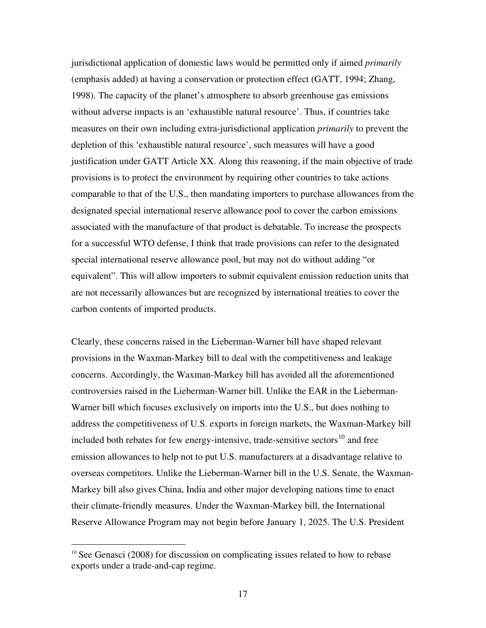jurisdictional application of domestic laws would be permitted only if aimed *primarily* (emphasis added) at having a conservation or protection effect (GATT, 1994; Zhang, 1998). The capacity of the planet's atmosphere to absorb greenhouse gas emissions without adverse impacts is an 'exhaustible natural resource'. Thus, if countries take measures on their own including extra-jurisdictional application *primarily* to prevent the depletion of this 'exhaustible natural resource', such measures will have a good justification under GATT Article XX. Along this reasoning, if the main objective of trade provisions is to protect the environment by requiring other countries to take actions comparable to that of the U.S., then mandating importers to purchase allowances from the designated special international reserve allowance pool to cover the carbon emissions associated with the manufacture of that product is debatable. To increase the prospects for a successful WTO defense, I think that trade provisions can refer to the designated special international reserve allowance pool, but may not do without adding "or equivalent". This will allow importers to submit equivalent emission reduction units that are not necessarily allowances but are recognized by international treaties to cover the carbon contents of imported products.

Clearly, these concerns raised in the Lieberman-Warner bill have shaped relevant provisions in the Waxman-Markey bill to deal with the competitiveness and leakage concerns. Accordingly, the Waxman-Markey bill has avoided all the aforementioned controversies raised in the Lieberman-Warner bill. Unlike the EAR in the Lieberman-Warner bill which focuses exclusively on imports into the U.S., but does nothing to address the competitiveness of U.S. exports in foreign markets, the Waxman-Markey bill included both rebates for few energy-intensive, trade-sensitive sectors $^{10}$  $^{10}$  $^{10}$  and free emission allowances to help not to put U.S. manufacturers at a disadvantage relative to overseas competitors. Unlike the Lieberman-Warner bill in the U.S. Senate, the Waxman-Markey bill also gives China, India and other major developing nations time to ena ct their climate-friendly measures. Under the Waxman-Markey bill, the International Reserve Allowance Program may not begin before January 1, 2025. The U.S. President

<span id="page-17-0"></span><sup>&</sup>lt;sup>10</sup> See Genasci (2008) for discussion on complicating issues related to how to rebase exports under a trade-and-cap regime.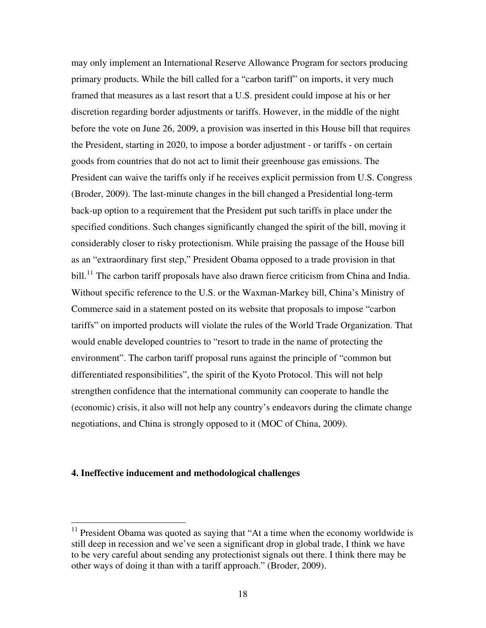may only implement an International Reserve Allowance Program for sectors producing primary products. While the bill called for a "carbon tariff" on imports, it very much framed that measures as a last resort that a U.S. president could impose at his or her discretion regarding border adjustments or tariffs. However, in the middle of the night before the vote on June 26, 2009, a provision was inserted in this House bill that re quires the President, starting in 2020, to impose a border adjustment - or tariffs - on certain goods from countries that do not act to limit their greenhouse gas emissions. The President can waive the tariffs only if he receives explicit permission from U.S. Cong ress (Broder, 2009). The last-minute changes in the bill changed a Presidential long-term back-up option to a requirement that the President put such tariffs in place under the specified conditions. Such changes significantly changed the spirit of the bill, m oving it considerably closer to risky protectionism. While praising the passage of the House bill as an "extraordinary first step," President Obama opposed to a trade provision in that bill.<sup>[11](#page-18-0)</sup> The carbon tariff proposals have also drawn fierce criticism from China and India. Without specific reference to the U.S. or the Waxman-Markey bill, China's Ministry of Commerce said in a statement posted on its website that proposals to impose "carbon tariffs" on imported products will violate the rules of the World Trade Organization. That would enable developed countries to "resort to trade in the name of protecting the environment". The carbon tariff proposal runs against the principle of "common but differentiated responsibilities", the spirit of the Kyoto Protocol. This will not help strengthen confidence that the international community can cooperate to handle the (economic) crisis, it also will not help any country's endeavors during the climate change negotiations, and China is strongly opposed to it (MOC of China, 2009).

#### **4. Ineffective inducement and methodological challenges**

<span id="page-18-0"></span> $11$  President Obama was quoted as saying that "At a time when the economy worldwide is still deep in [recession](http://topics.nytimes.com/top/reference/timestopics/subjects/r/recession_and_depression/index.html?inline=nyt-classifier) and we've seen a significant drop in global trade, I think we have to be very careful about sending any protectionist signals out there. I think there may be other ways of doing it than with a tariff approach." (Broder, 2009).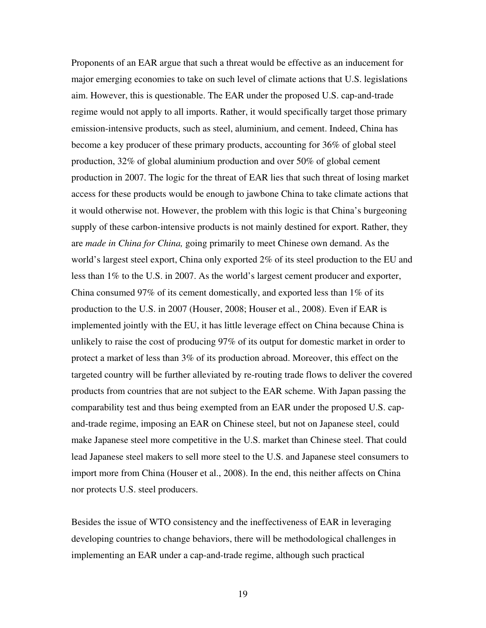Proponents of an EAR argue that such a threat would be effective as an inducement for major emerging economies to take on such level of climate actions that U.S. legislations aim. However, this is questionable. The EAR under the proposed U.S. cap-and-trade regime would not apply to all imports. Rather, it would specifically target those primary emission-intensive products, such as steel, aluminium, and cement. Indeed, China has become a key producer of these primary products, accounting for 36% of global steel production, 32% of global aluminium production and over 50% of global cement production in 2007. The logic for the threat of EAR lies that such threat of losing market access for these products would be enough to jawbone China to take climate actions that it would otherwise not. However, the problem with this logic is that China's burgeoning supply of these carbon-intensive products is not mainly destined for export. Rather, they are *made in China for China,* going primarily to meet Chinese own demand. As the world's largest steel export, China only exported 2% of its steel production to the EU and less than 1% to the U.S. in 2007. As the world's largest cement producer and exporter, China consumed 97% of its cement domestically, and exported less than  $1\%$  of its production to the U.S. in 2007 (Houser, 2008; Houser et al., 2008). Even if EAR is implemented jointly with the EU, it has little leverage effect on China because China is unlikely to raise the cost of producing 97% of its output for domestic market in order to protect a market of less than 3% of its production abroad. Moreover, this effect on the targeted country will be further alleviated by re-routing trade flows to deliver the covered products from countries that are not subject to the EAR scheme. With Japan passing the comparability test and thus being exempted from an EAR under the proposed U.S. capand-trade regime, imposing an EAR on Chinese steel, but not on Japanese steel, could make Japanese steel more competitive in the U.S. market than Chinese steel. That could lead Japanese steel makers to sell more steel to the U.S. and Japanese steel consumers to import more from China (Houser et al., 2008). In the end, this neither affects on China nor protects U.S. steel producers.

Besides the issue of WTO consistency and the ineffectiveness of EAR in leveraging developing countries to change behaviors, there will be methodological challenges in implementing an EAR under a cap-and-trade regime, although such practical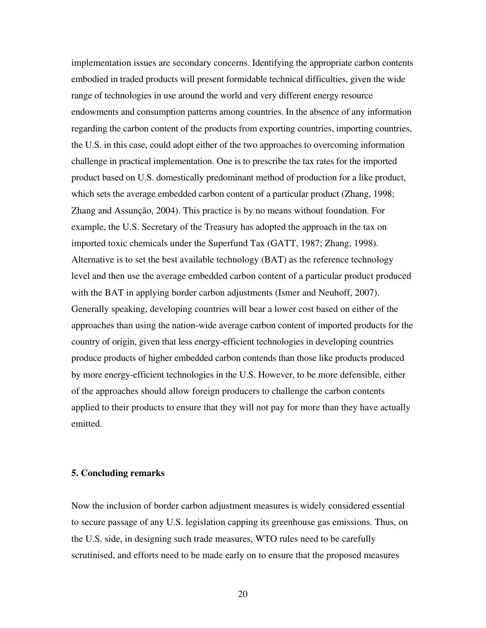implementation issues are secondary concerns. Identifying the appropriate carbon contents embodied in traded products will present formidable technical difficulties, given the wide range of technologies in use around the world and very different energy resource endowments and consumption patterns among countries. In the absence of any information regarding the carbon content of the products from exporting countries, importing countries, the U.S. in this case, could adopt either of the two approaches to overcoming information challenge in practical implementation. One is to prescribe the tax rates for the imported product based on U.S. domestically predominant method of production for a like product, which sets the average embedded carbon content of a particular product (Zhang, 1998; Zhang and Assunção, 2004). This practice is by no means without foundation. For example, the U.S. Secretary of the Treasury has adopted the approach in the tax on imported toxic chemicals under the Superfund Tax (GATT, 1987; Zhang, 1998). Alternative is to set the best available technology (BAT) as the reference technology level and then use the average embedded carbon content of a particular product produced with the BAT in applying border carbon adjustments (Ismer and Neuhoff, 2007). Generally speaking, developing countries will bear a lower cost based on either of the approaches than using the nation-wide average carbon content of imported products for the country of origin, given that less energy-efficient technologies in developing countries produce products of higher embedded carbon contends than those like products produced by more energy-efficient technologies in the U.S. However, to be more defensible, either of the approaches should allow foreign producers to challenge the carbon contents applied to their products to ensure that they will not pay for more than they have actually emitted.

### **5. Concluding remarks**

Now the inclusion of border carbon adjustment measures is widely considered essential to secure passage of any U.S. legislation capping its greenhouse gas emissions. Thus, on the U.S. side, in designing such trade measures, WTO rules need to be carefully scrutinised, and efforts need to be made early on to ensure that the proposed measures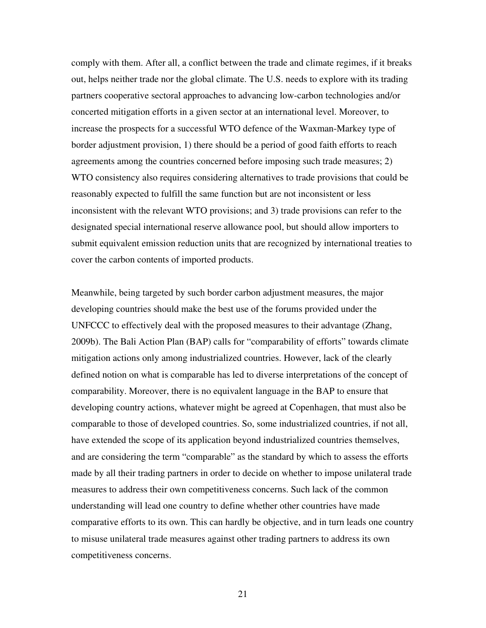comply with them. After all, a conflict between the trade and climate regimes, if it breaks out, helps neither trade nor the global climate. The U.S. needs to explore with its trading partners cooperative sectoral approaches to advancing low-carbon technologies and/or concerted mitigation efforts in a given sector at an international level. Moreover, to increase the prospects for a successful WTO defence of the Waxman-Markey type of border adjustment provision, 1) there should be a period of good faith efforts to reach agreements among the countries concerned before imposing such trade measures; 2) WTO consistency also requires considering alternatives to trade provisions that could be reasonably expected to fulfill the same function but are not inconsistent or less inconsistent with the relevant WTO provisions; and 3) trade provisions can refer to the designated special international reserve allowance pool, but should allow importers to submit equivalent emission reduction units that are recognized by international treaties to cover the carbon contents of imported products.

Meanwhile, being targeted by such border carbon adjustment measures, the major developing countries should make the best use of the forums provided under the UNFCCC to effectively deal with the proposed measures to their advantage (Zhang, 2009b). The Bali Action Plan (BAP) calls for "comparability of efforts" towards climate mitigation actions only among industrialized countries. However, lack of the clearly defined notion on what is comparable has led to diverse interpretations of the concept of comparability. Moreover, there is no equivalent language in the BAP to ensure that developing country actions, whatever might be agreed at Copenhagen, that must also be comparable to those of developed countries. So, some industrialized countries, if not all, have extended the scope of its application beyond industrialized countries themselves, and are considering the term "comparable" as the standard by which to assess the efforts made by all their trading partners in order to decide on whether to impose unilateral trade measures to address their own competitiveness concerns. Such lack of the common understanding will lead one country to define whether other countries have made comparative efforts to its own. This can hardly be objective, and in turn leads one country to misuse unilateral trade measures against other trading partners to address its own competitiveness concerns.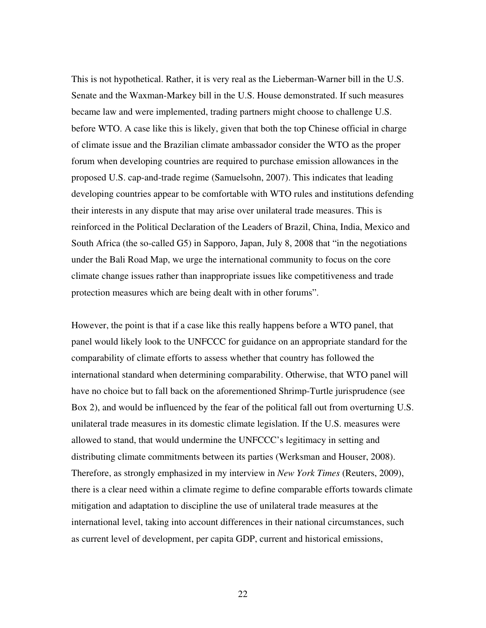This is not hypothetical. Rather, it is very real as the Lieberman-Warner bill in the U.S. Senate and the Waxman-Markey bill in the U.S. House demonstrated. If such measures became law and were implemented, trading partners might choose to challenge U.S. before WTO. A case like this is likely, given that both the top Chinese official in charge of climate issue and the Brazilian climate ambassador consider the WTO as the proper forum when developing countries are required to purchase emission allowances in the proposed U.S. cap-and-trade regime (Samuelsohn, 2007). This indicates that leading developing countries appear to be comfortable with WTO rules and institutions defending their interests in any dispute that may arise over unilateral trade measures. This is reinforced in the Political Declaration of the Leaders of Brazil, China, India, Mexico and South Africa (the so-called G5) in Sapporo, Japan, July 8, 2008 that "in the negotiations under the Bali Road Map, we urge the international community to focus on the core climate change issues rather than inappropriate issues like competitiveness and trade protection measures which are being dealt with in other forums".

However, the point is that if a case like this really happens before a WTO panel, that panel would likely look to the UNFCCC for guidance on an appropriate standard for the comparability of climate efforts to assess whether that country has followed the international standard when determining comparability. Otherwise, that WTO panel will have no choice but to fall back on the aforementioned Shrimp-Turtle jurisprudence (see Box 2), and would be influenced by the fear of the political fall out from overturning U.S. unilateral trade measures in its domestic climate legislation. If the U.S. measures were allowed to stand, that would undermine the UNFCCC's legitimacy in setting and distributing climate commitments between its parties (Werksman and Houser, 2008). Therefore, as strongly emphasized in my interview in *New York Times* (Reuters, 2009), there is a clear need within a climate regime to define comparable efforts towards climate mitigation and adaptation to discipline the use of unilateral trade measures at the international level, taking into account differences in their national circumstances, such as current level of development, per capita GDP, current and historical emissions,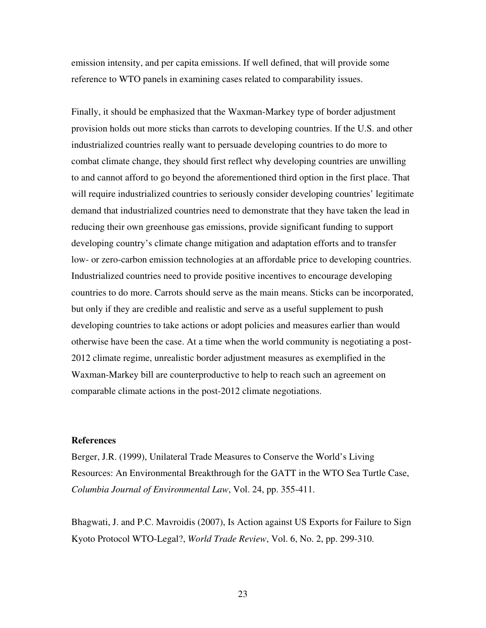emission intensity, and per capita emissions. If well defined, that will provide some reference to WTO panels in examining cases related to comparability issues.

Finally, it should be emphasized that the Waxman-Markey type of border adjustment provision holds out more sticks than carrots to developing countries. If the U.S. and other industrialized countries really want to persuade developing countries to do more to combat climate change, they should first reflect why developing countries are unwilling to and cannot afford to go beyond the aforementioned third option in the first place. That will require industrialized countries to seriously consider developing countries' legitimate demand that industrialized countries need to demonstrate that they have taken the lead in reducing their own greenhouse gas emissions, provide significant funding to support developing country's climate change mitigation and adaptation efforts and to transfer low- or zero-carbon emission technologies at an affordable price to developing countries. Industrialized countries need to provide positive incentives to encourage developing countries to do more. Carrots should serve as the main means. Sticks can be incorporated, but only if they are credible and realistic and serve as a useful supplement to push developing countries to take actions or adopt policies and measures earlier than would otherwise have been the case. At a time when the world community is negotiating a post-2012 climate regime, unrealistic border adjustment measures as exemplified in the Waxman-Markey bill are counterproductive to help to reach such an agreement on comparable climate actions in the post-2012 climate negotiations.

## **References**

Berger, J.R. (1999), Unilateral Trade Measures to Conserve the World's Living Resources: An Environmental Breakthrough for the GATT in the WTO Sea Turtle Case, *Columbia Journal of Environmental Law*, Vol. 24, pp. 355-411.

Bhagwati, J. and P.C. Mavroidis (2007), Is Action against US Exports for Failure to Sign Kyoto Protocol WTO-Legal?, *World Trade Review*, Vol. 6, No. 2, pp. 299-310.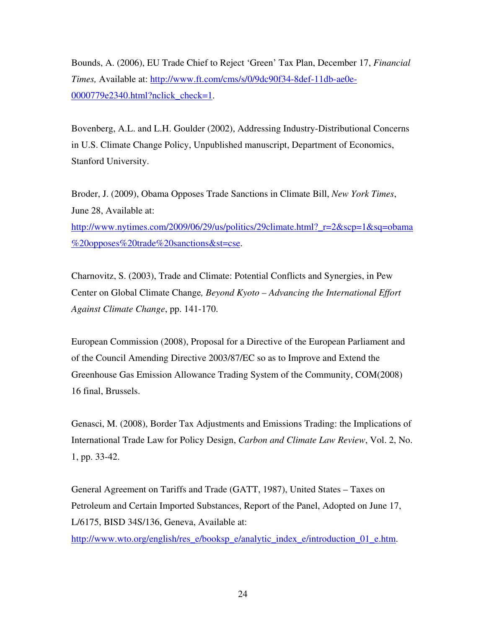Bounds, A. (2006), EU Trade Chief to Reject 'Green' Tax Plan, December 17, *Financial Times,* Available at: [http://www.ft.com/cms/s/0/9dc90f34-8def-11db-ae0e-](http://www.ft.com/cms/s/0/9dc90f34-8def-11db-ae0e-0000779e2340.html?nclick_check=1)[0000779e2340.html?nclick\\_check=1.](http://www.ft.com/cms/s/0/9dc90f34-8def-11db-ae0e-0000779e2340.html?nclick_check=1)

Bovenberg, A.L. and L.H. Goulder (2002), Addressing Industry-Distributional Concerns in U.S. Climate Change Policy, Unpublished manuscript, Department of Economics, Stanford University.

Broder, J. (2009), Obama Opposes Trade Sanctions in Climate Bill, *New York Times*, June 28, Available at: [http://www.nytimes.com/2009/06/29/us/politics/29climate.html?\\_r=2&scp=1&sq=obama](http://www.nytimes.com/2009/06/29/us/politics/29climate.html?_r=2&scp=1&sq=obama%20opposes%20trade%20sanctions&st=cse) [%20opposes%20trade%20sanctions&st=cse.](http://www.nytimes.com/2009/06/29/us/politics/29climate.html?_r=2&scp=1&sq=obama%20opposes%20trade%20sanctions&st=cse)

Charnovitz, S. (2003), Trade and Climate: Potential Conflicts and Synergies, in Pew Center on Global Climate Change*, Beyond Kyoto – Advancing the International Effort Against Climate Change*, pp. 141-170.

European Commission (2008), Proposal for a Directive of the European Parliament and of the Council Amending Directive 2003/87/EC so as to Improve and Extend the Greenhouse Gas Emission Allowance Trading System of the Community, COM(2008) 16 final, Brussels.

Genasci, M. (2008), Border Tax Adjustments and Emissions Trading: the Implications of International Trade Law for Policy Design, *Carbon and Climate Law Review*, Vol. 2, No. 1, pp. 33-42.

General Agreement on Tariffs and Trade (GATT, 1987), United States – Taxes on Petroleum and Certain Imported Substances, Report of the Panel, Adopted on June 17, L/6175, BISD 34S/136, Geneva, Available at:

[http://www.wto.org/english/res\\_e/booksp\\_e/analytic\\_index\\_e/introduction\\_01\\_e.htm.](http://www.wto.org/english/res_e/booksp_e/analytic_index_e/introduction_01_e.htm)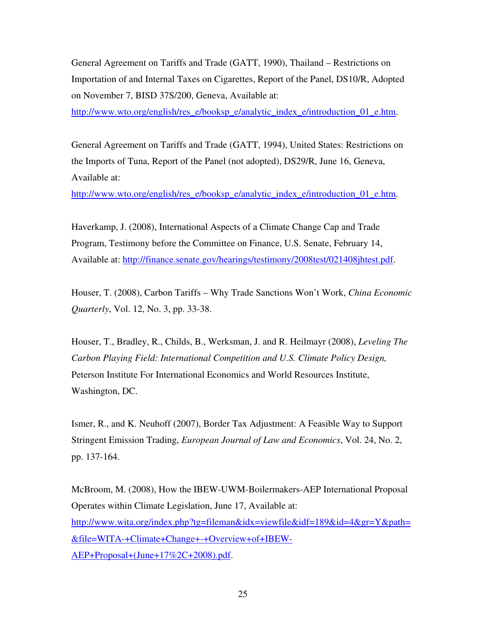General Agreement on Tariffs and Trade (GATT, 1990), Thailand – Restrictions on Importation of and Internal Taxes on Cigarettes, Report of the Panel, DS10/R, Adopted on November 7, BISD 37S/200, Geneva, Available at:

[http://www.wto.org/english/res\\_e/booksp\\_e/analytic\\_index\\_e/introduction\\_01\\_e.htm.](http://www.wto.org/english/res_e/booksp_e/analytic_index_e/introduction_01_e.htm)

General Agreement on Tariffs and Trade (GATT, 1994), United States: Restrictions on the Imports of Tuna, Report of the Panel (not adopted), DS29/R, June 16, Geneva, Available at:

[http://www.wto.org/english/res\\_e/booksp\\_e/analytic\\_index\\_e/introduction\\_01\\_e.htm.](http://www.wto.org/english/res_e/booksp_e/analytic_index_e/introduction_01_e.htm)

Haverkamp, J. (2008), International Aspects of a Climate Change Cap and Trade Program, Testimony before the Committee on Finance, U.S. Senate, February 14, Available at: [http://finance.senate.gov/hearings/testimony/2008test/021408jhtest.pdf.](http://finance.senate.gov/hearings/testimony/2008test/021408jhtest.pdf)

Houser, T. (2008), Carbon Tariffs – Why Trade Sanctions Won't Work, *China Economic Quarterly*, Vol. 12, No. 3, pp. 33-38.

Houser, T., Bradley, R., Childs, B., Werksman, J. and R. Heilmayr (2008), *Leveling The Carbon Playing Field: International Competition and U.S. Climate Policy Design,*  Peterson Institute For International Economics and World Resources Institute, Washington, DC.

Ismer, R., and K. Neuhoff (2007), Border Tax Adjustment: A Feasible Way to Support Stringent Emission Trading, *European Journal of Law and Economics*, Vol. 24, No. 2, pp. 137-164.

McBroom, M. (2008), How the IBEW-UWM-Boilermakers-AEP International Proposal Operates within Climate Legislation, June 17, Available at: [http://www.wita.org/index.php?tg=fileman&idx=viewfile&idf=189&id=4&gr=Y&path=](http://www.wita.org/index.php?tg=fileman&idx=viewfile&idf=189&id=4&gr=Y&path=&file=WITA-+Climate+Change+-+Overview+of+IBEW-AEP+Proposal+(June+17%2C+2008).pdf) [&file=WITA-+Climate+Change+-+Overview+of+IBEW-](http://www.wita.org/index.php?tg=fileman&idx=viewfile&idf=189&id=4&gr=Y&path=&file=WITA-+Climate+Change+-+Overview+of+IBEW-AEP+Proposal+(June+17%2C+2008).pdf)[AEP+Proposal+\(June+17%2C+2008\).pdf.](http://www.wita.org/index.php?tg=fileman&idx=viewfile&idf=189&id=4&gr=Y&path=&file=WITA-+Climate+Change+-+Overview+of+IBEW-AEP+Proposal+(June+17%2C+2008).pdf)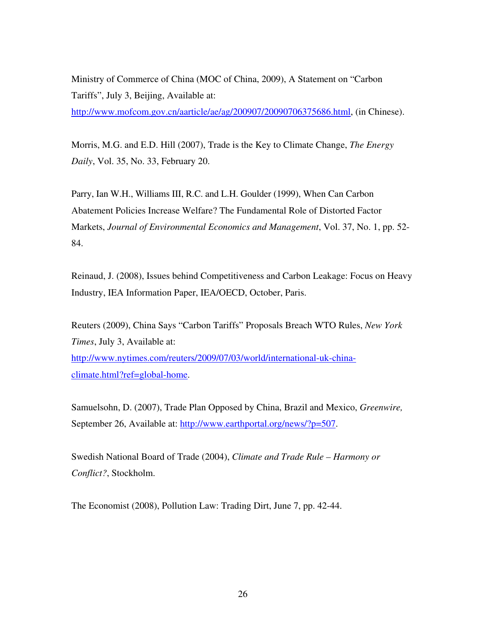Ministry of Commerce of China (MOC of China, 2009), A Statement on "Carbon Tariffs", July 3, Beijing, Available at:

[http://www.mofcom.gov.cn/aarticle/ae/ag/200907/20090706375686.html,](http://www.mofcom.gov.cn/aarticle/ae/ag/200907/20090706375686.html) (in Chinese).

Morris, M.G. and E.D. Hill (2007), Trade is the Key to Climate Change, *The Energy Daily*, Vol. 35, No. 33, February 20.

Parry, Ian W.H., Williams III, R.C. and L.H. Goulder (1999), When Can Carbon Abatement Policies Increase Welfare? The Fundamental Role of Distorted Factor Markets, *Journal of Environmental Economics and Management*, Vol. 37, No. 1, pp. 52- 84.

Reinaud, J. (2008), Issues behind Competitiveness and Carbon Leakage: Focus on Heavy Industry, IEA Information Paper, IEA/OECD, October, Paris.

Reuters (2009), China Says "Carbon Tariffs" Proposals Breach WTO Rules, *New York Times*, July 3, Available at: [http://www.nytimes.com/reuters/2009/07/03/world/international-uk-china](http://www.nytimes.com/reuters/2009/07/03/world/international-uk-china-climate.html?ref=global-home)[climate.html?ref=global-home](http://www.nytimes.com/reuters/2009/07/03/world/international-uk-china-climate.html?ref=global-home).

Samuelsohn, D. (2007), Trade Plan Opposed by China, Brazil and Mexico, *Greenwire,*  September 26, Available at: [http://www.earthportal.org/news/?p=507.](http://www.earthportal.org/news/?p=507)

Swedish National Board of Trade (2004), *Climate and Trade Rule – Harmony or Conflict?*, Stockholm.

The Economist (2008), Pollution Law: Trading Dirt, June 7, pp. 42-44.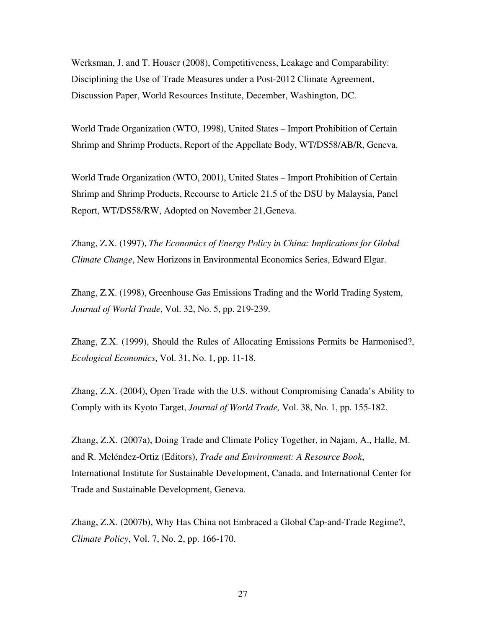Werksman, J. and T. Houser (2008), Competitiveness, Leakage and Comparability: Disciplining the Use of Trade Measures under a Post-2012 Climate Agreement, Discussion Paper, World Resources Institute, December, Washington, DC.

World Trade Organization (WTO, 1998), United States – Import Prohibition of Certain Shrimp and Shrimp Products, Report of the Appellate Body, WT/DS58/AB/R, Geneva.

World Trade Organization (WTO, 2001), United States – Import Prohibition of Certain Shrimp and Shrimp Products, Recourse to Article 21.5 of the DSU by Malaysia, Panel Report, WT/DS58/RW, Adopted on November 21,Geneva.

Zhang, Z.X. (1997), *The Economics of Energy Policy in China: Implications for Global Climate Change*, New Horizons in Environmental Economics Series, Edward Elgar.

Zhang, Z.X. (1998), Greenhouse Gas Emissions Trading and the World Trading System, *Journal of World Trade*, Vol. 32, No. 5, pp. 219-239.

Zhang, Z.X. (1999), Should the Rules of Allocating Emissions Permits be Harmonised?, *Ecological Economics*, Vol. 31, No. 1, pp. 11-18.

Zhang, Z.X. (2004), Open Trade with the U.S. without Compromising Canada's Ability to Comply with its Kyoto Target, *Journal of World Trade,* Vol. 38, No. 1, pp. 155-182.

Zhang, Z.X. (2007a), Doing Trade and Climate Policy Together, in Najam, A., Halle, M. and R. Meléndez-Ortiz (Editors), *Trade and Environment: A Resource Book*, International Institute for Sustainable Development, Canada, and International Center for Trade and Sustainable Development, Geneva.

Zhang, Z.X. (2007b), Why Has China not Embraced a Global Cap-and-Trade Regime?, *Climate Policy*, Vol. 7, No. 2, pp. 166-170.